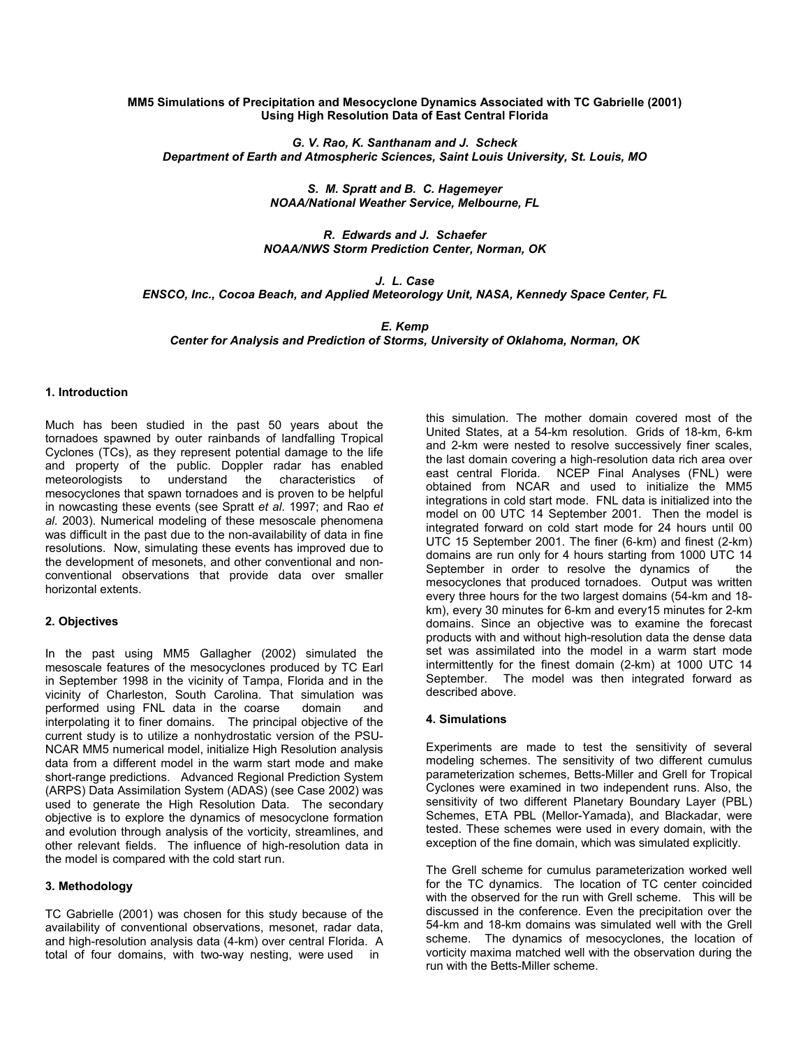## **MM5 Simulations of Precipitation and Mesocyclone Dynamics Associated with TC Gabrielle (2001) Using High Resolution Data of East Central Florida**

*G. V. Rao, K. Santhanam and J. Scheck Department of Earth and Atmospheric Sciences, Saint Louis University, St. Louis, MO* 

> *S. M. Spratt and B. C. Hagemeyer NOAA/National Weather Service, Melbourne, FL*

*R. Edwards and J. Schaefer NOAA/NWS Storm Prediction Center, Norman, OK* 

*J. L. Case* 

*ENSCO, Inc., Cocoa Beach, and Applied Meteorology Unit, NASA, Kennedy Space Center, FL* 

*E. Kemp Center for Analysis and Prediction of Storms, University of Oklahoma, Norman, OK* 

# **1. Introduction**

Much has been studied in the past 50 years about the tornadoes spawned by outer rainbands of landfalling Tropical Cyclones (TCs), as they represent potential damage to the life and property of the public. Doppler radar has enabled meteorologists to understand the characteristics of meteorologists to understand the characteristics of mesocyclones that spawn tornadoes and is proven to be helpful in nowcasting these events (see Spratt *et al*. 1997; and Rao *et al*. 2003). Numerical modeling of these mesoscale phenomena was difficult in the past due to the non-availability of data in fine resolutions. Now, simulating these events has improved due to the development of mesonets, and other conventional and nonconventional observations that provide data over smaller horizontal extents.

### **2. Objectives**

In the past using MM5 Gallagher (2002) simulated the mesoscale features of the mesocyclones produced by TC Earl in September 1998 in the vicinity of Tampa, Florida and in the vicinity of Charleston, South Carolina. That simulation was performed using FNL data in the coarse domain and interpolating it to finer domains. The principal objective of the current study is to utilize a nonhydrostatic version of the PSU-NCAR MM5 numerical model, initialize High Resolution analysis data from a different model in the warm start mode and make short-range predictions. Advanced Regional Prediction System (ARPS) Data Assimilation System (ADAS) (see Case 2002) was used to generate the High Resolution Data. The secondary objective is to explore the dynamics of mesocyclone formation and evolution through analysis of the vorticity, streamlines, and other relevant fields. The influence of high-resolution data in the model is compared with the cold start run.

## **3. Methodology**

TC Gabrielle (2001) was chosen for this study because of the availability of conventional observations, mesonet, radar data, and high-resolution analysis data (4-km) over central Florida. A total of four domains, with two-way nesting, were used in

this simulation. The mother domain covered most of the United States, at a 54-km resolution. Grids of 18-km, 6-km and 2-km were nested to resolve successively finer scales, the last domain covering a high-resolution data rich area over east central Florida. NCEP Final Analyses (FNL) were obtained from NCAR and used to initialize the MM5 integrations in cold start mode. FNL data is initialized into the model on 00 UTC 14 September 2001. Then the model is integrated forward on cold start mode for 24 hours until 00 UTC 15 September 2001. The finer (6-km) and finest (2-km) domains are run only for 4 hours starting from 1000 UTC 14 September in order to resolve the dynamics of the mesocyclones that produced tornadoes. Output was written every three hours for the two largest domains (54-km and 18 km), every 30 minutes for 6-km and every15 minutes for 2-km domains. Since an objective was to examine the forecast products with and without high-resolution data the dense data set was assimilated into the model in a warm start mode intermittently for the finest domain (2-km) at 1000 UTC 14 September. The model was then integrated forward as described above.

### **4. Simulations**

Experiments are made to test the sensitivity of several modeling schemes. The sensitivity of two different cumulus parameterization schemes, Betts-Miller and Grell for Tropical Cyclones were examined in two independent runs. Also, the sensitivity of two different Planetary Boundary Layer (PBL) Schemes, ETA PBL (Mellor-Yamada), and Blackadar, were tested. These schemes were used in every domain, with the exception of the fine domain, which was simulated explicitly.

The Grell scheme for cumulus parameterization worked well for the TC dynamics. The location of TC center coincided with the observed for the run with Grell scheme. This will be discussed in the conference. Even the precipitation over the 54-km and 18-km domains was simulated well with the Grell scheme. The dynamics of mesocyclones, the location of vorticity maxima matched well with the observation during the run with the Betts-Miller scheme.